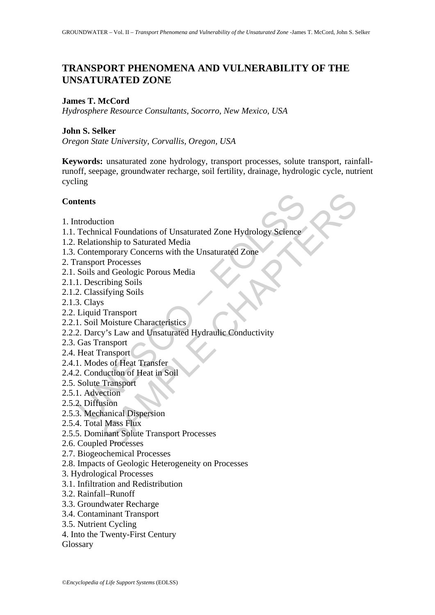# **TRANSPORT PHENOMENA AND VULNERABILITY OF THE UNSATURATED ZONE**

#### **James T. McCord**

*Hydrosphere Resource Consultants, Socorro, New Mexico, USA* 

### **John S. Selker**

*Oregon State University, Corvallis, Oregon, USA* 

**Keywords:** unsaturated zone hydrology, transport processes, solute transport, rainfallrunoff, seepage, groundwater recharge, soil fertility, drainage, hydrologic cycle, nutrient cycling

## **Contents**

- 1. Introduction
- ntents<br>
Introduction<br>
Technical Foundations of Unsaturated Zone Hydrology Science<br>
Relationship to Saturated Media<br>
Contemporary Concerns with the Unsaturated Zone<br>
Transport Processes<br>
Soils and Geologic Porous Media<br>
1. tion<br>
ical Foundations of Unsaturated Zone Hydrology Science<br>
Implayer Concerns with the Unsaturated Zone<br>
In Processes<br>
In Cleologic Porous Media<br>
iribing Soils<br>
sifying Soils<br>
Sifying Soils<br>
Sifying Soils<br>
Sifying Soils<br> 1.1. Technical Foundations of Unsaturated Zone Hydrology Science
- 1.2. Relationship to Saturated Media
- 1.3. Contemporary Concerns with the Unsaturated Zone
- 2. Transport Processes
- 2.1. Soils and Geologic Porous Media
- 2.1.1. Describing Soils
- 2.1.2. Classifying Soils
- 2.1.3. Clays
- 2.2. Liquid Transport
- 2.2.1. Soil Moisture Characteristics
- 2.2.2. Darcy's Law and Unsaturated Hydraulic Conductivity
- 2.3. Gas Transport
- 2.4. Heat Transport
- 2.4.1. Modes of Heat Transfer
- 2.4.2. Conduction of Heat in Soil
- 2.5. Solute Transport
- 2.5.1. Advection
- 2.5.2. Diffusion
- 2.5.3. Mechanical Dispersion
- 2.5.4. Total Mass Flux
- 2.5.5. Dominant Solute Transport Processes
- 2.6. Coupled Processes
- 2.7. Biogeochemical Processes
- 2.8. Impacts of Geologic Heterogeneity on Processes
- 3. Hydrological Processes
- 3.1. Infiltration and Redistribution
- 3.2. Rainfall–Runoff
- 3.3. Groundwater Recharge
- 3.4. Contaminant Transport
- 3.5. Nutrient Cycling
- 4. Into the Twenty-First Century

Glossary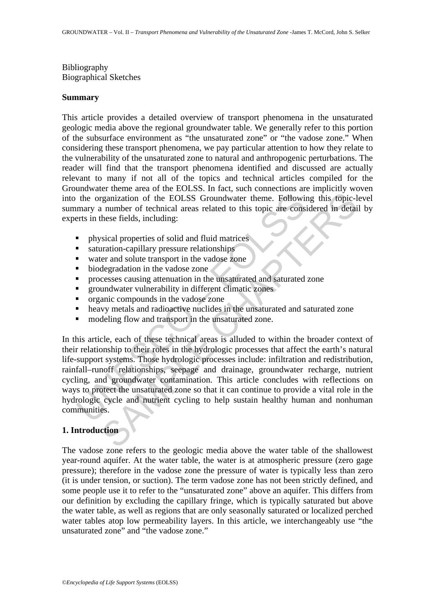Bibliography Biographical Sketches

#### **Summary**

This article provides a detailed overview of transport phenomena in the unsaturated geologic media above the regional groundwater table. We generally refer to this portion of the subsurface environment as "the unsaturated zone" or "the vadose zone." When considering these transport phenomena, we pay particular attention to how they relate to the vulnerability of the unsaturated zone to natural and anthropogenic perturbations. The reader will find that the transport phenomena identified and discussed are actually relevant to many if not all of the topics and technical articles compiled for the Groundwater theme area of the EOLSS. In fact, such connections are implicitly woven into the organization of the EOLSS Groundwater theme. Following this topic-level summary a number of technical areas related to this topic are considered in detail by experts in these fields, including:

- **physical properties of solid and fluid matrices**
- saturation-capillary pressure relationships
- water and solute transport in the vadose zone
- biodegradation in the vadose zone
- **PEDIES 2** processes causing attenuation in the unsaturated and saturated zone
- **EXECUTE:** 1 groundwater vulnerability in different climatic zones
- **•** organic compounds in the vadose zone
- heavy metals and radioactive nuclides in the unsaturated and saturated zone
- **modeling flow and transport in the unsaturated zone.**

The organization of the EOLSS Groundwater theme. Followind the consents in these fields, including:<br> **EVALUAT:** The servest in these fields, including:<br> **EVALUAT:** The staturation-capillary pressure relationships<br> **EVALUAT** expansive of the EOLSS Groundwater theme. Following this topic-<br>reganization of the EOLSS Groundwater theme. Following this topic-<br>a number of technical areas related to this topic are considered in detail<br>these fields, in In this article, each of these technical areas is alluded to within the broader context of their relationship to their roles in the hydrologic processes that affect the earth's natural life-support systems. Those hydrologic processes include: infiltration and redistribution, rainfall–runoff relationships, seepage and drainage, groundwater recharge, nutrient cycling, and groundwater contamination. This article concludes with reflections on ways to protect the unsaturated zone so that it can continue to provide a vital role in the hydrologic cycle and nutrient cycling to help sustain healthy human and nonhuman communities.

# **1. Introduction**

The vadose zone refers to the geologic media above the water table of the shallowest year-round aquifer. At the water table, the water is at atmospheric pressure (zero gage pressure); therefore in the vadose zone the pressure of water is typically less than zero (it is under tension, or suction). The term vadose zone has not been strictly defined, and some people use it to refer to the "unsaturated zone" above an aquifer. This differs from our definition by excluding the capillary fringe, which is typically saturated but above the water table, as well as regions that are only seasonally saturated or localized perched water tables atop low permeability layers. In this article, we interchangeably use "the unsaturated zone" and "the vadose zone."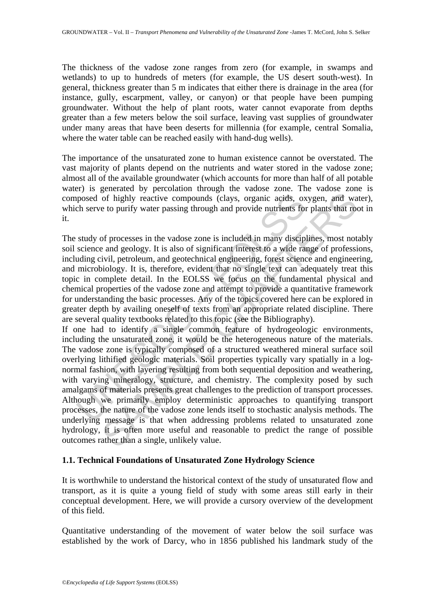The thickness of the vadose zone ranges from zero (for example, in swamps and wetlands) to up to hundreds of meters (for example, the US desert south-west). In general, thickness greater than 5 m indicates that either there is drainage in the area (for instance, gully, escarpment, valley, or canyon) or that people have been pumping groundwater. Without the help of plant roots, water cannot evaporate from depths greater than a few meters below the soil surface, leaving vast supplies of groundwater under many areas that have been deserts for millennia (for example, central Somalia, where the water table can be reached easily with hand-dug wells).

The importance of the unsaturated zone to human existence cannot be overstated. The vast majority of plants depend on the nutrients and water stored in the vadose zone; almost all of the available groundwater (which accounts for more than half of all potable water) is generated by percolation through the vadose zone. The vadose zone is composed of highly reactive compounds (clays, organic acids, oxygen, and water), which serve to purify water passing through and provide nutrients for plants that root in it.

The study of processes in the vadose zone is included in many disciplines, most notably soil science and geology. It is also of significant interest to a wide range of professions, including civil, petroleum, and geotechnical engineering, forest science and engineering, and microbiology. It is, therefore, evident that no single text can adequately treat this topic in complete detail. In the EOLSS we focus on the fundamental physical and chemical properties of the vadose zone and attempt to provide a quantitative framework for understanding the basic processes. Any of the topics covered here can be explored in greater depth by availing oneself of texts from an appropriate related discipline. There are several quality textbooks related to this topic (see the Bibliography).

posed of highly reactive compounds (clays, organic acids, ox<br>posed of highly reactive compounds (clays, organic acids, ox<br>ch serve to purify water passing through and provide nutrients for<br>study of processes in the vadose of highly reactive compounds (clays, organic acids, oxygen, and was to purify water passing through and provide nutrients for plants that roof processes in the vadose zone is included in many disciplines, most not and geol If one had to identify a single common feature of hydrogeologic environments, including the unsaturated zone, it would be the heterogeneous nature of the materials. The vadose zone is typically composed of a structured weathered mineral surface soil overlying lithified geologic materials. Soil properties typically vary spatially in a lognormal fashion, with layering resulting from both sequential deposition and weathering, with varying mineralogy, structure, and chemistry. The complexity posed by such amalgams of materials presents great challenges to the prediction of transport processes. Although we primarily employ deterministic approaches to quantifying transport processes, the nature of the vadose zone lends itself to stochastic analysis methods. The underlying message is that when addressing problems related to unsaturated zone hydrology, it is often more useful and reasonable to predict the range of possible outcomes rather than a single, unlikely value.

## **1.1. Technical Foundations of Unsaturated Zone Hydrology Science**

It is worthwhile to understand the historical context of the study of unsaturated flow and transport, as it is quite a young field of study with some areas still early in their conceptual development. Here, we will provide a cursory overview of the development of this field.

Quantitative understanding of the movement of water below the soil surface was established by the work of Darcy, who in 1856 published his landmark study of the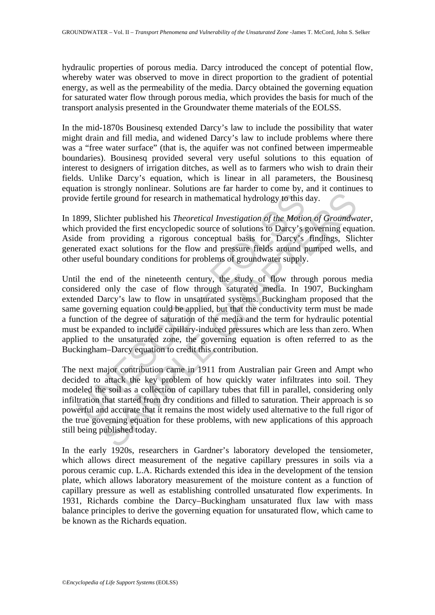hydraulic properties of porous media. Darcy introduced the concept of potential flow, whereby water was observed to move in direct proportion to the gradient of potential energy, as well as the permeability of the media. Darcy obtained the governing equation for saturated water flow through porous media, which provides the basis for much of the transport analysis presented in the Groundwater theme materials of the EOLSS.

In the mid-1870s Bousinesq extended Darcy's law to include the possibility that water might drain and fill media, and widened Darcy's law to include problems where there was a "free water surface" (that is, the aquifer was not confined between impermeable boundaries). Bousinesq provided several very useful solutions to this equation of interest to designers of irrigation ditches, as well as to farmers who wish to drain their fields. Unlike Darcy's equation, which is linear in all parameters, the Bousinesq equation is strongly nonlinear. Solutions are far harder to come by, and it continues to provide fertile ground for research in mathematical hydrology to this day.

In 1899, Slichter published his *Theoretical Investigation of the Motion of Groundwater*, which provided the first encyclopedic source of solutions to Darcy's governing equation. Aside from providing a rigorous conceptual basis for Darcy's findings, Slichter generated exact solutions for the flow and pressure fields around pumped wells, and other useful boundary conditions for problems of groundwater supply.

vide fertile ground for research in mathematical hydrology to this<br>899, Slichter published his *Theoretical Investigation of the Motio*<br>th provided the first encyclopedic source of solutions to Darcy's<br>ele from providing a tile ground for research in mathematical hydrology to this day.<br>
tichter published his *Theoretical Investigation of the Motion of Groundwided* the first encyclopedic source of solutions to Darcy's governing equal n provid Until the end of the nineteenth century, the study of flow through porous media considered only the case of flow through saturated media. In 1907, Buckingham extended Darcy's law to flow in unsaturated systems. Buckingham proposed that the same governing equation could be applied, but that the conductivity term must be made a function of the degree of saturation of the media and the term for hydraulic potential must be expanded to include capillary-induced pressures which are less than zero. When applied to the unsaturated zone, the governing equation is often referred to as the Buckingham–Darcy equation to credit this contribution.

The next major contribution came in 1911 from Australian pair Green and Ampt who decided to attack the key problem of how quickly water infiltrates into soil. They modeled the soil as a collection of capillary tubes that fill in parallel, considering only infiltration that started from dry conditions and filled to saturation. Their approach is so powerful and accurate that it remains the most widely used alternative to the full rigor of the true governing equation for these problems, with new applications of this approach still being published today.

In the early 1920s, researchers in Gardner's laboratory developed the tensiometer, which allows direct measurement of the negative capillary pressures in soils via a porous ceramic cup. L.A. Richards extended this idea in the development of the tension plate, which allows laboratory measurement of the moisture content as a function of capillary pressure as well as establishing controlled unsaturated flow experiments. In 1931, Richards combine the Darcy–Buckingham unsaturated flux law with mass balance principles to derive the governing equation for unsaturated flow, which came to be known as the Richards equation.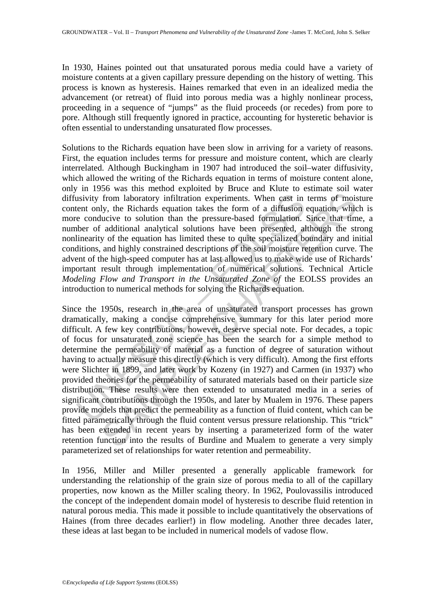In 1930, Haines pointed out that unsaturated porous media could have a variety of moisture contents at a given capillary pressure depending on the history of wetting. This process is known as hysteresis. Haines remarked that even in an idealized media the advancement (or retreat) of fluid into porous media was a highly nonlinear process, proceeding in a sequence of "jumps" as the fluid proceeds (or recedes) from pore to pore. Although still frequently ignored in practice, accounting for hysteretic behavior is often essential to understanding unsaturated flow processes.

Solutions to the Richards equation have been slow in arriving for a variety of reasons. First, the equation includes terms for pressure and moisture content, which are clearly interrelated. Although Buckingham in 1907 had introduced the soil–water diffusivity, which allowed the writing of the Richards equation in terms of moisture content alone, only in 1956 was this method exploited by Bruce and Klute to estimate soil water diffusivity from laboratory infiltration experiments. When cast in terms of moisture content only, the Richards equation takes the form of a diffusion equation, which is more conducive to solution than the pressure-based formulation. Since that time, a number of additional analytical solutions have been presented, although the strong nonlinearity of the equation has limited these to quite specialized boundary and initial conditions, and highly constrained descriptions of the soil moisture retention curve. The advent of the high-speed computer has at last allowed us to make wide use of Richards' important result through implementation of numerical solutions. Technical Article *Modeling Flow and Transport in the Unsaturated Zone of* the EOLSS provides an introduction to numerical methods for solving the Richards equation.

usivity from laboratory infiltration experiments. When cast in<br>tent only, the Richards equation takes the form of a diffusion<br>e conducive to solution than the pressure-based formulation.<br>there of additional analytical solu from laboratory infiltration experiments. When cast in terms of mois<br>ly, the Richards equation takes the form of a diffusion equation, which<br>ucive to solution than the pressure-based formulation. Since that time<br>is additi Since the 1950s, research in the area of unsaturated transport processes has grown dramatically, making a concise comprehensive summary for this later period more difficult. A few key contributions, however, deserve special note. For decades, a topic of focus for unsaturated zone science has been the search for a simple method to determine the permeability of material as a function of degree of saturation without having to actually measure this directly (which is very difficult). Among the first efforts were Slichter in 1899, and later work by Kozeny (in 1927) and Carmen (in 1937) who provided theories for the permeability of saturated materials based on their particle size distribution. These results were then extended to unsaturated media in a series of significant contributions through the 1950s, and later by Mualem in 1976. These papers provide models that predict the permeability as a function of fluid content, which can be fitted parametrically through the fluid content versus pressure relationship. This "trick" has been extended in recent years by inserting a parameterized form of the water retention function into the results of Burdine and Mualem to generate a very simply parameterized set of relationships for water retention and permeability.

In 1956, Miller and Miller presented a generally applicable framework for understanding the relationship of the grain size of porous media to all of the capillary properties, now known as the Miller scaling theory. In 1962, Poulovassilis introduced the concept of the independent domain model of hysteresis to describe fluid retention in natural porous media. This made it possible to include quantitatively the observations of Haines (from three decades earlier!) in flow modeling. Another three decades later, these ideas at last began to be included in numerical models of vadose flow.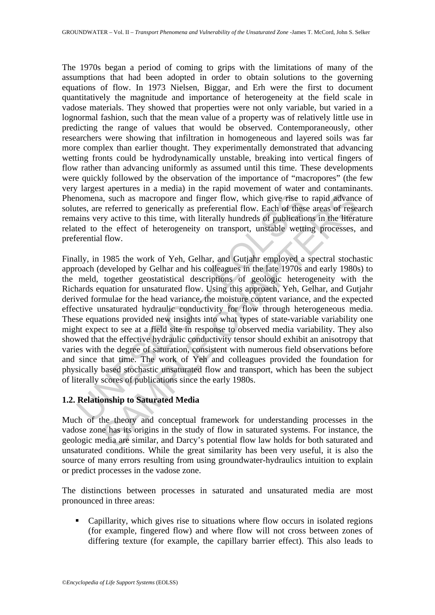The 1970s began a period of coming to grips with the limitations of many of the assumptions that had been adopted in order to obtain solutions to the governing equations of flow. In 1973 Nielsen, Biggar, and Erh were the first to document quantitatively the magnitude and importance of heterogeneity at the field scale in vadose materials. They showed that properties were not only variable, but varied in a lognormal fashion, such that the mean value of a property was of relatively little use in predicting the range of values that would be observed. Contemporaneously, other researchers were showing that infiltration in homogeneous and layered soils was far more complex than earlier thought. They experimentally demonstrated that advancing wetting fronts could be hydrodynamically unstable, breaking into vertical fingers of flow rather than advancing uniformly as assumed until this time. These developments were quickly followed by the observation of the importance of "macropores" (the few very largest apertures in a media) in the rapid movement of water and contaminants. Phenomena, such as macropore and finger flow, which give rise to rapid advance of solutes, are referred to generically as preferential flow. Each of these areas of research remains very active to this time, with literally hundreds of publications in the literature related to the effect of heterogeneity on transport, unstable wetting processes, and preferential flow.

nomena, such as macropore and finger flow, which give rise to<br>tes, are referred to generically as preferential flow. Each of these<br>ains very active to this time, with literally hundreds of publicatic<br>ted to the effect of h a, such as macropore and finger flow, which give rise to rapid advance referred to generically as preferential flow. Each of these areas of reserve to this time, with literally hundreds of publications in the literation of Finally, in 1985 the work of Yeh, Gelhar, and Gutjahr employed a spectral stochastic approach (developed by Gelhar and his colleagues in the late 1970s and early 1980s) to the meld, together geostatistical descriptions of geologic heterogeneity with the Richards equation for unsaturated flow. Using this approach, Yeh, Gelhar, and Gutjahr derived formulae for the head variance, the moisture content variance, and the expected effective unsaturated hydraulic conductivity for flow through heterogeneous media. These equations provided new insights into what types of state-variable variability one might expect to see at a field site in response to observed media variability. They also showed that the effective hydraulic conductivity tensor should exhibit an anisotropy that varies with the degree of saturation, consistent with numerous field observations before and since that time. The work of Yeh and colleagues provided the foundation for physically based stochastic unsaturated flow and transport, which has been the subject of literally scores of publications since the early 1980s.

# **1.2. Relationship to Saturated Media**

Much of the theory and conceptual framework for understanding processes in the vadose zone has its origins in the study of flow in saturated systems. For instance, the geologic media are similar, and Darcy's potential flow law holds for both saturated and unsaturated conditions. While the great similarity has been very useful, it is also the source of many errors resulting from using groundwater-hydraulics intuition to explain or predict processes in the vadose zone.

The distinctions between processes in saturated and unsaturated media are most pronounced in three areas:

 Capillarity, which gives rise to situations where flow occurs in isolated regions (for example, fingered flow) and where flow will not cross between zones of differing texture (for example, the capillary barrier effect). This also leads to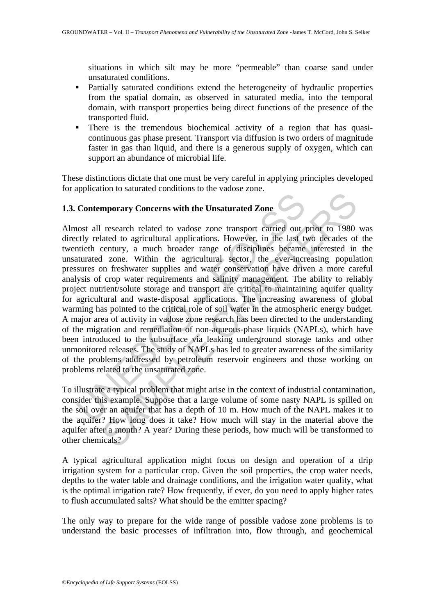situations in which silt may be more "permeable" than coarse sand under unsaturated conditions.

- **Partially saturated conditions extend the heterogeneity of hydraulic properties** from the spatial domain, as observed in saturated media, into the temporal domain, with transport properties being direct functions of the presence of the transported fluid.
- There is the tremendous biochemical activity of a region that has quasicontinuous gas phase present. Transport via diffusion is two orders of magnitude faster in gas than liquid, and there is a generous supply of oxygen, which can support an abundance of microbial life.

These distinctions dictate that one must be very careful in applying principles developed for application to saturated conditions to the vadose zone.

# **1.3. Contemporary Concerns with the Unsaturated Zone**

11<br>Contemporary Concerns with the Unsaturated Zone<br>constall research related to vadose zone transport carried out<br>city related to agricultural applications. However, in the last ty<br>elited the carrier denotes and the produc mporary Concerns with the Unsaturated Zone<br>mporary Concerns with the Unsaturated Zone<br>research related to vadose zone transport carried out prior to 1980<br>lated to agricultural applications. However, in the last two decade Almost all research related to vadose zone transport carried out prior to 1980 was directly related to agricultural applications. However, in the last two decades of the twentieth century, a much broader range of disciplines became interested in the unsaturated zone. Within the agricultural sector, the ever-increasing population pressures on freshwater supplies and water conservation have driven a more careful analysis of crop water requirements and salinity management. The ability to reliably project nutrient/solute storage and transport are critical to maintaining aquifer quality for agricultural and waste-disposal applications. The increasing awareness of global warming has pointed to the critical role of soil water in the atmospheric energy budget. A major area of activity in vadose zone research has been directed to the understanding of the migration and remediation of non-aqueous-phase liquids (NAPLs), which have been introduced to the subsurface via leaking underground storage tanks and other unmonitored releases. The study of NAPLs has led to greater awareness of the similarity of the problems addressed by petroleum reservoir engineers and those working on problems related to the unsaturated zone.

To illustrate a typical problem that might arise in the context of industrial contamination, consider this example. Suppose that a large volume of some nasty NAPL is spilled on the soil over an aquifer that has a depth of 10 m. How much of the NAPL makes it to the aquifer? How long does it take? How much will stay in the material above the aquifer after a month? A year? During these periods, how much will be transformed to other chemicals?

A typical agricultural application might focus on design and operation of a drip irrigation system for a particular crop. Given the soil properties, the crop water needs, depths to the water table and drainage conditions, and the irrigation water quality, what is the optimal irrigation rate? How frequently, if ever, do you need to apply higher rates to flush accumulated salts? What should be the emitter spacing?

The only way to prepare for the wide range of possible vadose zone problems is to understand the basic processes of infiltration into, flow through, and geochemical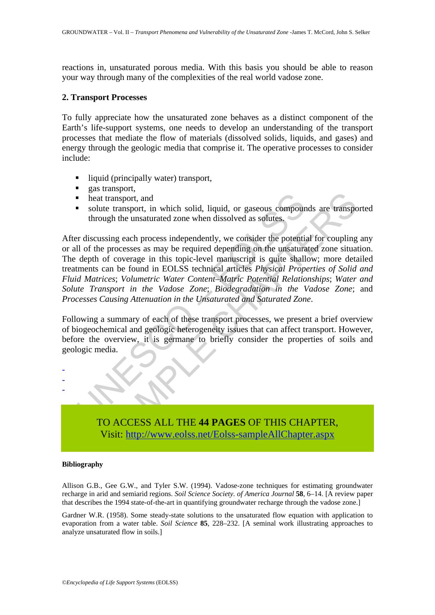reactions in, unsaturated porous media. With this basis you should be able to reason your way through many of the complexities of the real world vadose zone.

#### **2. Transport Processes**

To fully appreciate how the unsaturated zone behaves as a distinct component of the Earth's life-support systems, one needs to develop an understanding of the transport processes that mediate the flow of materials (dissolved solids, liquids, and gases) and energy through the geologic media that comprise it. The operative processes to consider include:

- liquid (principally water) transport,
- **gas transport,**
- heat transport, and
- solute transport, in which solid, liquid, or gaseous compounds are transported through the unsaturated zone when dissolved as solutes.

TRESCORT THE AT **PACESS ALL THE AT PACES** OF THIS CH Example the unstandant manner of the same of the same of the same and the transport, and the unstaturated zone when dissolved as solutes.<br>
Sample the unstantated zone when dissolved as solutes.<br>
Sample processes as may be After discussing each process independently, we consider the potential for coupling any or all of the processes as may be required depending on the unsaturated zone situation. The depth of coverage in this topic-level manuscript is quite shallow; more detailed treatments can be found in EOLSS technical articles *Physical Properties of Solid and Fluid Matrices*; *Volumetric Water Content–Matric Potential Relationships*; *Water and Solute Transport in the Vadose Zone*; *Biodegradation in the Vadose Zone*; and *Processes Causing Attenuation in the Unsaturated and Saturated Zone*.

Following a summary of each of these transport processes, we present a brief overview of biogeochemical and geologic heterogeneity issues that can affect transport. However, before the overview, it is germane to briefly consider the properties of soils and geologic media.



#### **Bibliography**

- - -

Allison G.B., Gee G.W., and Tyler S.W. (1994). Vadose-zone techniques for estimating groundwater recharge in arid and semiarid regions. *Soil Science Society. of America Journal* **58**, 6–14. [A review paper that describes the 1994 state-of-the-art in quantifying groundwater recharge through the vadose zone.]

Gardner W.R. (1958). Some steady-state solutions to the unsaturated flow equation with application to evaporation from a water table. *Soil Science* **85**, 228–232. [A seminal work illustrating approaches to analyze unsaturated flow in soils.]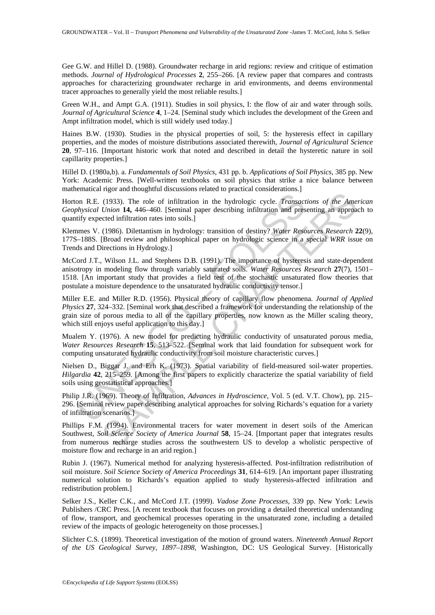Gee G.W. and Hillel D. (1988). Groundwater recharge in arid regions: review and critique of estimation methods. *Journal of Hydrological Processes* **2**, 255–266. [A review paper that compares and contrasts approaches for characterizing groundwater recharge in arid environments, and deems environmental tracer approaches to generally yield the most reliable results.]

Green W.H., and Ampt G.A. (1911). Studies in soil physics, I: the flow of air and water through soils. *Journal of Agricultural Science* **4**, 1–24. [Seminal study which includes the development of the Green and Ampt infiltration model, which is still widely used today.]

Haines B.W. (1930). Studies in the physical properties of soil, 5: the hysteresis effect in capillary properties, and the modes of moisture distributions associated therewith, *Journal of Agricultural Science*  **20**, 97–116. [Important historic work that noted and described in detail the hysteretic nature in soil capillarity properties.]

Hillel D. (1980a,b). a. *Fundamentals of Soil Physics*, 431 pp. b. *Applications of Soil Physics*, 385 pp. New York: Academic Press. [Well-written textbooks on soil physics that strike a nice balance between mathematical rigor and thoughtful discussions related to practical considerations.]

Horton R.E. (1933). The role of infiltration in the hydrologic cycle. *Transactions of the American Geophysical Union* **14,** 446–460. [Seminal paper describing infiltration and presenting an approach to quantify expected infiltration rates into soils.]

Klemmes V. (1986). Dilettantism in hydrology: transition of destiny? *Water Resources Research* **22**(9), 177S–188S. [Broad review and philosophical paper on hydrologic science in a special *WRR* issue on Trends and Directions in Hydrology.]

on R.E. (1933). The role of infiltration in the hydrologic cycle. *Transact*<br>*hysical Union* 14, 446-460. [Seminal paper describing infiltration and prestify expected infiltration rates into soils.]<br>mes V. (1986). Diletta (1933). The role of infiltration in the hydrologic cycle. *Transactions of the Ame Union* 14, 446–460. [Seminal paper describing infiltration and presenting an approached infiltration rates into soils.]<br>
(1933). Dilettati McCord J.T., Wilson J.L. and Stephens D.B. (1991). The importance of hysteresis and state-dependent anisotropy in modeling flow through variably saturated soils. *Water Resources Research* **27**(7), 1501– 1518. [An important study that provides a field test of the stochastic unsaturated flow theories that postulate a moisture dependence to the unsaturated hydraulic conductivity tensor.]

Miller E.E. and Miller R.D. (1956). Physical theory of capillary flow phenomena. *Journal of Applied Physics* **27**, 324–332. [Seminal work that described a framework for understanding the relationship of the grain size of porous media to all of the capillary properties, now known as the Miller scaling theory, which still enjoys useful application to this day.]

Mualem Y. (1976). A new model for predicting hydraulic conductivity of unsaturated porous media, *Water Resources Research* **15**, 513–522. [Seminal work that laid foundation for subsequent work for computing unsaturated hydraulic conductivity from soil moisture characteristic curves.]

Nielsen D., Biggar J. and Erh K. (1973). Spatial variability of field-measured soil-water properties. *Hilgardia* **42**, 215–259. [Among the first papers to explicitly characterize the spatial variability of field soils using geostatistical approaches.]

Philip J.R. (1969). Theory of Infiltration, *Advances in Hydroscience*, Vol. 5 (ed. V.T. Chow), pp. 215– 296. [Seminal review paper describing analytical approaches for solving Richards's equation for a variety of infiltration scenarios.]

Phillips F.M. (1994). Environmental tracers for water movement in desert soils of the American Southwest, *Soil Science Society of America Journal* **58**, 15–24. [Important paper that integrates results from numerous recharge studies across the southwestern US to develop a wholistic perspective of moisture flow and recharge in an arid region.]

Rubin J. (1967). Numerical method for analyzing hysteresis-affected. Post-infiltration redistribution of soil moisture. *Soil Science Society of America Proceedings* **31**, 614–619. [An important paper illustrating numerical solution to Richards's equation applied to study hysteresis-affected infiltration and redistribution problem.]

Selker J.S., Keller C.K., and McCord J.T. (1999). *Vadose Zone Processes,* 339 pp. New York: Lewis Publishers /CRC Press. [A recent textbook that focuses on providing a detailed theoretical understanding of flow, transport, and geochemical processes operating in the unsaturated zone, including a detailed review of the impacts of geologic heterogeneity on those processes.]

Slichter C.S. (1899). Theoretical investigation of the motion of ground waters. *Nineteenth Annual Report of the US Geological Survey, 1897–1898*, Washington, DC: US Geological Survey. [Historically